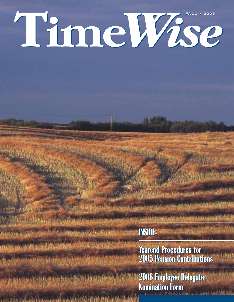# **Time***Wise* **FALL • 2005 FALL • 2005**

**INSIDE: INSIDE:**

in Andrew monotonic charges the second state

**Yearend Procedures for Yearend Procedures for 2005 Pension Contributions 2005 Pension Contributions**

**2006 Employee Delegate 2006 Employee Delegate Nomination Form Nomination Form**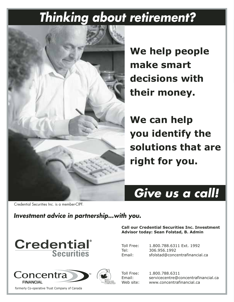## *Thinking about retirement?*



**We help people** make smart **decisions with** their money.

**We can help you identify the** solutions that are right for you.

## Give us a call!

**Call our Credential Securities Inc. Investment** 

**Advisor today: Sean Folstad, B. Admin** 

Toll Free: 1.800.788.6311 Ext. 1992<br>Tel: 306.956.1992 306.956.1992

Credential Securities Inc. is a member-CIPF.

### Investment advice in partnership...with you.





formerly Co-operative Trust Company of Canada



Toll Free: 1.800.788.6311 Email: servicecentre@concentrafinancial.ca Web site: www.concentrafinancial.ca

Email: sfolstad@concentrafinancial.ca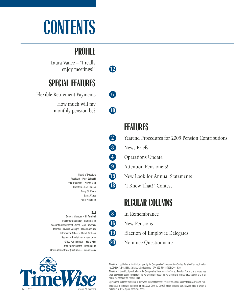# **CONTENTS**

### **PROFILE**

Laura Vance – "I really enjoy meetings!" **12**

## **SPECIAL FEATURES**

Flexible Retirement Payments **6** How much will my monthly pension be? **10** 

> Board of Directors President – Peter Zakreski Vice-President – Wayne King Directors – Earl Hanson Gerry St. Pierre Laura Vance

#### **Staff**

Audri Wilkinson

General Manager – Bill Turnbull Investment Manager – Eldon Braun Accounting/Investment Officer – Joel Sawatsky Member Services Manager – David Kapeluck Information Officer – Muriel Baribeau Systems Administrator – Vaun John Office Administrator – Fiona May Office Administrator – Rhonda Ens Office Administrator (Part-time) – Joanne Monk



### **FEATURES**

- **2** Yearend Procedures for 2005 Pension Contributions
- **3** News Briefs
- **4** Operations Update
- **9** Attention Pensioners!
- **15** New Look for Annual Statements
- **18** "I Know That!" Contest

### **REGULAR COLUMNS**

- **8** In Remembrance
- **16** New Pensions
- **19** Election of Employee Delegates
- **20** Nominee Questionnaire

TimeWise is published at least twice a year by the Co-operative Superannuation Society Pension Plan (registration no. 0345868), Box 1850, Saskatoon, Saskatchewan S7K 3S2. Phone (306) 244-1539.

TimeWise is the official publication of the Co-operative Superannuation Society Pension Plan and is provided free to all active contributing members of the Pension Plan through the Pension Plan's member organizations and to all retired members of the Pension Plan.

Opinion and comment expressed in TimeWise does not necessarily reflect the official policy of the CSS Pension Plan. This issue of TimeWise is printed on RESOLVE COATED GLOSS which contains 50% recycled fibre of which a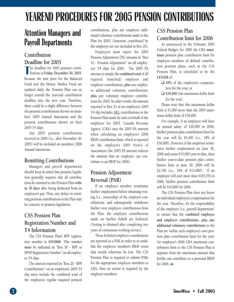## **YEAREND PROCEDURES FOR 2005 PENSION CONTRIBUTIONS**

### **Attention Managers and Payroll Departments**

### **Contribution Deadline for 2005**

 $\Gamma$ he deadline for 2005 pension contributions is **Friday, December 30, 2005**. Because the unit price for the Balanced Fund and the Money Market Fund are updated daily, the Pension Plan can no longer extend the year-end contribution deadline into the new year. Therefore, there could be a slight difference between the pension contributions shown on members' 2005 Annual Statements and the pension contributions shown on their 2005 T4 slips.

Any 2005 pension contributions received in 2006 (i.e., after December 30, 2005) will be included on members' 2006 Annual Statements.

### **Remitting Contributions**

Managers and payroll departments should keep in mind that pension legislation generally requires that all contributions be remitted to the Pension Plan **within 30 days** after being deducted from an employee's pay. Thus, any delays in remitting pension contributions to the Plan may be contrary to pension legislation.

### **CSS Pension Plan Registration Number and T4 Information**

The CSS Pension Plan's RPP registration number is **0345868**. This number **must** be indicated in "Box 50 - RPP or DPSP Registration Number" on all employee T4 slips.

The amount reported in "Box 20 - RPP Contributions" on an employee's 2005 T4 slip must include the combined total of the employee's regular required pension

contributions, plus any employee additional voluntary contributions made to the Plan for 2005. (Amounts contributed by the employer are not included in Box 20).

Employers must report the 2005 Pension Adjustment (PA) amount in "Box 52 - Pension Adjustment" on all employees' T4 slips for 2005. The 2005 PA amount is simply the **combined total** of all required (matched) employee and employer contributions, **plus** any employee additional voluntary contributions, **plus** any voluntary employer contributions for 2005. In other words, the amount reported in Box 52 of an employee's 2005 T4 slip includes **ALL** contributions to the Pension Plan made by and on behalf of the employee for 2005. Canada Revenue Agency (CRA) uses the 2005 PA amount when calculating an employee's 2006 RRSP contribution limit, which is reported on the employee's 2005 Notice of Assessment (the 2005 PA amount reduces the amount that an employee can contribute to an RRSP for 2006).

### **Pension Adjustment Reversal (PAR)**

If an employee member terminates his/her employment before obtaining vesting (i.e., ownership) of the employer contributions, and subsequently withdraws his/her own employee contributions from the Plan, the employer contributions made on his/her behalf are forfeited. (Vesting is obtained after completing two years of continuous working service).

These forfeited employer contributions are reported as a PAR in order to re-establish the employee member's RRSP room that would otherwise be lost. The CSS Pension Plan is required to submit PARs for the appropriate employee members to CRA, thus no action is required by the employer members.

### **CSS Pension Plan Contribution limit for 2006**

As announced in the February 2003 Federal Budget, for 2006 the CRA **maximum** pension plan contribution limit for employee members of defined contribution pension plans, such as the CSS Pension Plan, is scheduled to be the **LESSER** of:

- ❑ **18%** of the employee's compensation for the year, or
- ❑ **\$19,000** (the maximum dollar limit for the year).

Please note that this maximum dollar limit is \$1,000 more than the 2005 maximum dollar limit of \$18,000.

For example, if an employee will have an annual salary of \$30,000 in 2006, his/her pension plan contribution limit for the year will be \$5,400 (i.e., 18% of \$30,000). However, if the employee terminates his/her employment on June 30, 2006 and earns \$15,000 year-to-date, then his/her year-to-date pension plan contribution limit at June 30, 2006 will be \$2,700 (i.e., 18% of \$15,000). If an employee will earn more than \$105,555 in 2006, his/her pension contribution limit will be \$19,000 for 2006.

The CSS Pension Plan does not know an individual employee's compensation for the year. Therefore, it's the responsibility of the employer (i.e., payroll department) to ensure that the **combined employee and employer contributions, plus any additional voluntary contributions** to the Plan are within each employee's own pension plan contribution limit for the year. An employee's 2006 CRA maximum contribution limit to the CSS Pension Plan is separate from the maximum amount that he/she can contribute to a personal RRSP for  $2006.$   $\omega$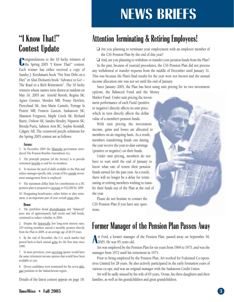## **NEWS BRIEFS**

## **"I Know That!"**

**C**ongratulations to the 10 lucky winners of<br>
the Spring 2005 "I Know That!" contest. **Ongratulations to the 10 lucky winners of** Each winner has either received a copy of Stanley J. Kershman's book "Put Your Debt on a Diet" or Alan Dickson's book "Advance to Go! – The Road to a Rich Retirement". The 10 lucky winners whose names were drawn at random on May 16, 2005 are: Arnold Beresh, Regina SK; Agnes Grenier, Morden MB; Penny Hewlett, Pierceland SK; Ann Marie Cantelo, Portage la Prairie MB; Francis Gaston, Saskatoon SK; Shannon Ferguson, Maple Creek SK; Richard Ruetz, Oxbow SK; Sandra Hendry, Nipawin SK; Brenda Puetz, Salmon Arm BC; Sophie Kendall, Calgary AB; The crossword puzzle solutions for the Spring 2005 contest are as follows:

#### **Across:**

3. In December 2004 the Manitoba government introduced The Pension Benefits Amendment Act.

5. The principle purpose [of the Society] is to provide retirement benefits to and for its members.

6. To increase the pool of skills available to the Plan and reduce manager-specific risk, a team of five outside investment management firms is employed.

9. The maximum dollar limit for contributions to a DC pension plan is proposed to increase to \$22,000 by 2009.

10. Designating beneficiaries, either before or after retirement, is an important part of your overall estate plan.

#### **Down:**

1. The portfolio's broad diversification and "balanced" asset mix of approximately half stocks and half bonds, continued to reduce volatility in 2004.

2. Despite the historically low long-term interest rates, 219 retiring members started a monthly pension directly from the Plan in 2004, at an average age of 60.19 years.

4. By the end of December, the U.S. stock market had posted back-to-back annual gains for the first time since 1999.

7. In most provinces, your surviving spouse would have the same retirement income options that would have been available to you.

8. Eleven candidates were nominated for the seven delegate positions in the Saskatchewan region.

Details of the latest contest appear on page 18.

### **Attention Terminating & Retiring Employees!**

- Contest Update □ Are you planning to terminate your employment with an employer member of the CSS Pension Plan by the end of this year?
	- ❑ And, are you planning to withdraw or transfer your pension funds from the Plan?

In the past, because of yearend procedures, the CSS Pension Plan did not process any withdrawal or transfer requests from the middle of December until January 31. This was because the Plan's final results for the year were not known and the annual income allocation rate was not set until the end of January.

Since January 2005, the Plan has been using unit pricing for its two investment

options, the Balanced Fund and the Money

Market Fund. Under unit pricing the investment performance of each Fund (positive or negative) directly affects its unit price, which in turn directly affects the dollar value of a member's pension funds.

With unit pricing the investment income, gains and losses are allocated to members on an ongoing basis. As a result, members transferring funds out during the year receive the year-to-date earnings (positive or negative) on their funds.

Under unit pricing, members do not have to wait until the end of January to know what rate of return their pension funds earned for the past year. As a result, there will no longer be a delay for terminating or retiring members wishing to transfer their funds out of the Plan at the end of the year.

Please do not hesitate to contact the CSS Pension Plan if you have any questions.



### **Former Manager of the Pension Plan Passes Away**

<sup>11</sup> Ford, a former manager<br>2005. He was 95 years old. If  $r$  it Ford, a former manager of the Pension Plan, passed away on September 18,

Art was employed by the Pension Plan for six years from 1969 to 1975, and was the manager from 1972 until his retirement in 1975.

Prior to being employed by the Pension Plan, Art worked for Federated Co-operatives Limited for 28 years. He also actively participated in the early formation years of various co-ops, and was an original manager with the Saskatoon Credit Union.

Art will be sadly missed by his wife of 65 years, Vivian, his three daughters and their families, as well as his grandchildren and great grandchildren.

#### **TimeWise • Fall 2005 3**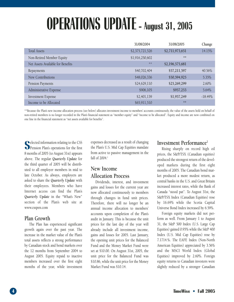## **OPERATIONS UPDATE - August 31, 2005**

|                                   | 31/08/2004      | 31/08/2005      | Change    |
|-----------------------------------|-----------------|-----------------|-----------|
| <b>Total Assets</b>               | \$2,375,721,526 | \$2,711,973,651 | 14.15%    |
| Non-Retired Member Equity         | \$1,916,250,602 | **              |           |
| Net Assets Available for Benefits | $**$            | \$2,196,575,681 |           |
| Repayments                        | \$40,702,404    | \$57,211,597    | 40.56%    |
| New Contributions                 | \$48,026,336    | \$50,594,925    | 5.35%     |
| Pension Payments                  | \$24,629,110    | \$25,269,299    | 2.60%     |
| Administrative Expense            | \$906,105       | \$957,253       | 5.64%     |
| <b>Investment Expense</b>         | \$2,401,139     | \$1,957,249     | $-18.49%$ |
| Income to be Allocated            | \$65,911,510    | **              |           |

\*\*Because the Plan's new income allocation process (see below) allocates investment income to members' accounts continuously, the value of the assets held on behalf of non-retired members is no longer recorded in the Plan's financial statement as "member equity" and "income to be allocated". Equity and income are now combined on one line in the financial statement as "net assets available for benefits".

**S** elected information relating to the CSS Pension Plan's operations for the first 8 months of 2005 (to August 31st) appears above. The regular *Quarterly Update* for the third quarter of 2005 will be distributed to all employer members in mid to late October. As always, employers are asked to share the *Quarterly Update* with their employees. Members who have Internet access can find the Plan's *Quarterly Update* in the "What's New" section of the Plan's web site at www.csspen.com

### **Plan Growth**

The Plan has experienced significant growth again over the past year. The increase in the market value of the Plan's total assets reflects a strong performance by Canadian stock and bond markets over the 12 months from September 2004 to August 2005. Equity repaid to inactive members increased over the first eight months of the year, while investment expenses decreased as a result of changing the Plan's U.S. Mid Cap Equities mandate from active to passive management in the fall of  $2004.1$ 

### **New Income Allocation Process**

Dividends, interest, and investment gains and losses for the current year are now allocated continuously to members through changes in fund unit prices. Therefore, there will no longer be an annual income allocation to members' accounts upon completion of the Plan's audit in January. This is because the unit prices for the last day of the year will already include all investment income, gains and losses for 2005. Last January, the opening unit prices for the Balanced Fund and the Money Market Fund were set at \$10.00. On August 31st, 2005, the unit price for the Balanced Fund was \$10.86, while the unit price for the Money Market Fund was \$10.14.

### **Investment Performance**<sup>2</sup>

Rising sharply on record high oil prices, the S&P/TSX (Canadian equities) produced the strongest return of the developed markets during the first eight months of 2005. The Canadian bond market produced a more modest return, as central banks in the U.S. and Great Britain increased interest rates, while the Bank of Canada "stood pat". To August 31st, the S&P/TSX Index (Canadian Equities) rose by 16.69% while the Scotia Capital Universe Bond Index increased by 6.59%.

Foreign equity markets did not perform as well. From January 1 to August 31, the S&P 500 Index (U.S. Large Cap Equities) gained 0.95% while the S&P 400 Index (U.S. Mid Cap Equities) rose by 7.1714.%. The EAFE Index (Non-North American Equities) appreciated by 3.56% and the MSCI World Index (Global Equities) improved by 2.60%. Foreign equity returns to Canadian investors were slightly reduced by a stronger Canadian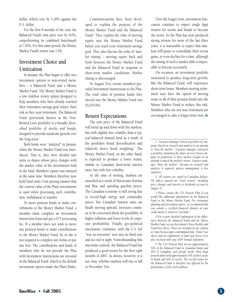dollar, which rose by 1.26% against the U.S. dollar.

For the first 8 months of the year, the Balanced Fund's unit price rose by 8.6%, outperforming its combined benchmark at 7.83%. For this same period, the Money Market Fund's return was 1.4%.

### **Investment Choice and Unitization**

In January the Plan began to offer two investment options to non-retired members – a Balanced Fund and a Money Market Fund. The Money Market Fund is a low risk/low return option designed to help members who have already reached their retirement savings goal reduce their risk as they near retirement. The Balanced Fund (previously known as the Non-Retired Lives portfolio) is a broadly diversified portfolio of stocks and bonds, designed to provide moderate growth over the long-term.3

Both funds were "unitized" in January when the Money Market Fund was introduced. That is, they were divided into units or shares whose price changes with the market value of the investments held in the fund. Members' equity was unitized at the same time. Members therefore now hold fund units. Unit pricing ensures that the current value of the Plan's investments is used when processing each contribution, withdrawal or transfer.

To move pension funds or make contributions to the Money Market Fund, a member must complete an Investment Instruction form and pay a \$75 processing fee. If a member does not wish to move any pension funds or make contributions to the Money Market Fund, he or she is not required to complete any forms or pay any fees. The contributions and funds of members who do not provide the Plan with Investment Instructions are invested in the Balanced Fund, which is the default investment option under the Plan's Rules.

Communications have been developed to explain the purpose of the Money Market Fund and the Balanced Fund.4 They explain the risks of moving equity into the Money Market Fund before you reach your retirement savings goal. They also discuss the risks of 'market timing' – moving equity back and forth between the Money Market Fund and the Balanced Fund in response to short-term market conditions. Market timing is discouraged.

To August 31st, twenty members provided Investment Instructions to the Plan. The total value of pension funds they moved into the Money Market Fund was \$5,019,941.

### **Return Expectations**

The unit price of the Balanced Fund will trend up and down with the markets, but with slightly less volatility than a typical balanced mutual fund as a result of the portfolio's broad diversification and relatively heavy bond weighting.<sup>5</sup> The Money Market Fund, on the other hand, is expected to produce a lower return, similar to Canadian short-term interest rates, but with less volatility.

At the time of writing, markets are unsettled as a result of Hurricanes Katrina and Rita, and spiraling gasoline prices. The Canadian economy is still strong due to record-high energy and commodity prices, but Canadian interest rates are finally moving upward. Investors continue to be concerned about the possibility of higher inflation and lower levels of corporate profitability. Finally, geo-political uncertainty continues, with the U.S. led "war on terrorism" now into its third year and no end in sight. Notwithstanding this uncertain outlook, the Balanced Fund has produced a good return for the first eight months of 2005. As always, however, it is not clear, whether markets will rise or fall to December 31st.

Over the longer term, investment forecasters continue to expect single digit returns for stocks and bonds to become the norm. As the Plan has now produced strong returns for most of the last three years, it is reasonable to expect that markets will pause to consolidate their recent gains, or even decline for a time, although the timing of such a market shift is impossible to forecast accurately.

On occasion, an investment portfolio structured to produce long-term growth, like the Balanced Fund, will experience short-term losses. Members nearing retirement now have the option of moving some or all of their pension funds into the Money Market Fund to reduce this risk. Members who are not near retirement are encouraged to take a longer-term view.

*1 An active manager selects a portfolio of companies based on research and analysis in an attempt to "beat the market". A passive manager constructs a portfolio containing the shares of every listed company in proportion to their market weights in an attempt to match the market's return. A passive manager "buys the market". Because no research and analysis is required, passive management is less expensive.* 

*2 All returns are stated in Canadian dollars. All indices quoted are "total returns" including price changes and interest or dividends accrued to August 31.*

*3 Please contact the CSS Pension Plan if you would like additional information on the Balanced Fund or the Money Market Fund. For retirement planning and investment advice, we recommend that you consult a certified financial planner at your credit union or wherever you bank.* 

*4 For a more detailed explanation of the differences between the Balanced Fund and the Money Market Fund, see our Investment Choice Booklet and Fund Fact sheets. These are included on our website at http://www.csspen.com/mmfund.htm. Fund Fact sheets and an explanation of fund unit prices were also enclosed with your 2004 Annual Statement.*

*5 The CSS Pension Plan invests approximately 50% of the Balanced Fund in Canadian bonds and 50% in Canadian, and foreign stocks. Most large pension plans hold approximately 40% of their assets in bonds and 60% in stocks. The overall return for the Balanced Fund is therefore less affected by the performance of the stock markets.*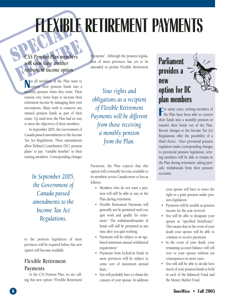# SPECIAL PROPERTY **FLEXIBLE RETIREMENT PAYMENTS**

### CSS Pension Plan members<br>will soon have another<br>retirement income option *CSS Pension Plan members will soon have another retirement income option*

**N** ot all members of the Plan want to convert their pension funds into a ot all members of the Plan want to monthly pension when they retire. Their reasons vary. Some hope to increase their retirement income by managing their own investments. Many wish to conserve any unused pension funds as part of their estate. Up until now, the Plan had no way to meet the objectives of these members.

In September 2005, the Government of Canada passed amendments to the Income Tax Act Regulations. These amendments allow Defined Contribution (DC) pension plans<sup>1</sup> to pay "variable benefits" to their retiring members. Corresponding changes

> *the Government of Canada passed amendments to the Income Tax Act Regulations.*

to the pension legislation of most provinces will be required before this new option will become available.

### **Flexible Retirement Payments**

At the CSS Pension Plan, we are calling this new option "Flexible Retirement

Payments". Although the pension legislation of most provinces has yet to be amended to permit Flexible Retirement

*Your rights and obligations as a recipient of Flexible Retirement Payments will be different from those receiving a monthly pension from the Plan.*

Payments, the Plan expects that this option will eventually become available to its members across Canada more or less as follows: accounts.<br>In September 2005, its members across Canada more or less as

- Members who do not want a pension will still be able to stay in the Plan during retirement.
- Flexible Retirement Payments will generally not be permitted until you quit work and qualify for retirement.2 The withdrawal/transfer of funds will still be permitted at any time after you quit working.
- Payments will be subject to an agebased minimum annual withdrawal requirement.<sup>3</sup>
- Payments from locked-in funds in most provinces will be subject to some sort of maximum annual limit.<sup>4</sup>
- You will probably have to obtain the consent of your spouse. In addition

### **Parliament provides a new option for DC plan members**

For many years, retiring members of<br>
the Plan have been able to convert<br>
their for the integration converts or many years, retiring members of their funds into a monthly pension or transfer their funds out of the Plan. Recent changes to the Income Tax Act Regulations offer the possibility of a third choice. Once provincial pension regulators make corresponding changes to provincial pension legislation, retiring members will be able to remain in the Plan during retirement, taking periodic withdrawals from their pension

> your spouse will have to waive the right to a joint pension under pension legislation.

- Payments will be taxable as pension income for the year received.
- You will be able to designate your spouse as "specified beneficiary". This means that in the event of your death your spouse will be able to continue to receive payments.
- In the event of your death, your remaining account balance will roll over to your spouse without tax consequences in most cases.
- You will still be able to decide how much of your pension funds to hold in each of the Balanced Fund and the Money Market Fund.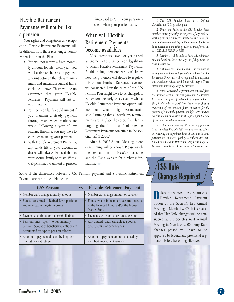### **Flexible Retirement Payments will not be like a pension**

Your rights and obligations as a recipient of Flexible Retirement Payments will be different from those receiving a monthly pension from the Plan.

- You will not receive a fixed monthly amount for life. Each year, you will be able to choose any payment amount between the relevant minimum and maximum annual limits explained above. There will be no assurance that your Flexible Retirement Payments will last for your lifetime.
- Your pension funds could run out if you maintain a steady payment through years when markets are weak. Following a year of low returns, therefore, you may have to consider reducing your payment.
- With Flexible Retirement Payments, any funds left in your account at death will always be available to your spouse, family or estate. With a CSS pension, the amount of pension

funds used to "buy" your pension is spent when your pension starts.<sup>5</sup>

### **When will Flexible Retirement Payments become available?**

Most provinces have not yet passed amendments to their pension legislation to permit Flexible Retirement Payments. At this point, therefore, we don't know how the provinces will decide to regulate this option. Further, Delegates have not yet considered how the rules of the CSS Pension Plan might have to be changed. It is therefore too early to say exactly what a Flexible Retirement Payment option will look like or when it might become available. Assuming that all regulatory requirements are in place, however, the Plan is targeting the "roll out " of Flexible Retirement Payments sometime in the second half of 2006.<sup>6</sup>

After the 2006 Annual Meeting, more exact timing will be known. Please watch the next edition of *TimeWise* magazine and the Plan's website for further information.

Some of the differences between a CSS Pension payment and a Flexible Retirement Payment appear in the table below.

| <b>CSS Pension</b>                                                                                                               | VS. | <b>Flexible Retirement Payment</b>                                                                  |
|----------------------------------------------------------------------------------------------------------------------------------|-----|-----------------------------------------------------------------------------------------------------|
| • Member can't change monthly amount                                                                                             |     | • Member can change amount of payment                                                               |
| • Funds transferred to Retired Lives portfolio<br>and invested in long-term bonds                                                |     | • Funds remain in member's account invested<br>in the Balanced Fund and/or the Money<br>Market Fund |
| • Payments continue for member's lifetime                                                                                        |     | • Payments will stop, once funds used up                                                            |
| • Pension funds "spent" to buy monthly<br>pension. Spouse or beneficiary's entitlement<br>determined by type of pension selected |     | • Any unused funds available to spouse,<br>estate, family or beneficiaries                          |
| • Amount of payment affected by long-term<br>interest rates at retirement                                                        |     | • Amount of payment amount affected by<br>member's investment returns                               |

*1 The CSS Pension Plan is a Defined Contribution (DC) pension plan.*

*2 Under the Rules of the CSS Pension Plan, members must generally be 50 years of age and not working for any employer member of the Plan (full and final termination) before their pension funds can be converted to a monthly pension or transferred out to a LIF, LRIF, PRRIF or RRIF.*

*3 Members will be able to have this minimum amount based on their own age, or if they wish, on their spouse's age.*

*4 Although the superintendents of pensions in most provinces have not yet indicated how Flexible Retirement Payments will be regulated, it is expected that maximum withdrawal limits will apply. These maximum limits may vary by province.*

*5 Funds converted to pension are removed from the member's account and transferred into the Pension Reserve – a portfolio of high-quality, long-term bonds (i.e., the Retired Lives portfolio). The member gives up ownership of the pension funds in return for the promise of a monthly payment for life. Any survivor benefits upon the member's death depend upon the type of pension selected at retirement.* 

*6 At the date of writing, BC is the only province to have enabled Flexible Retirement Payments. CSS is encouraging the superintendents of pensions in other jurisdictions to move quickly. Members are cautioned that Flexible Retirement Payments may not become available in all provinces at the same time.*

### **CSS Rule Changes Required**

**D**elegates reviewed the creation of a<br>
Flexible Retirement Payment<br>
option at the Society's last Annual elegates reviewed the creation of a Flexible Retirement Payment Meeting in March of 2005. It is expected that Plan Rule changes will be considered at the Society's next Annual Meeting in March of 2006. Any Rule changes passed will have to be approved by federal and provincial regulators before becoming effective.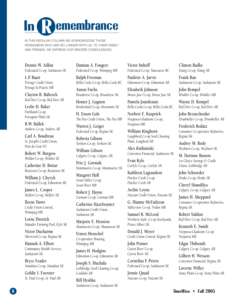# **In Remembrance**

IN THIS REGULAR COLUMN WE ACKNOWLEDGE THOSE PENSIONERS WHO ARE NO LONGER WITH US. TO THEIR FAMILY AND FRIENDS, WE EXPRESS OUR SINCERE CONDOLENCES.

**Dennis W. Adkin** *Federated Co-op, Saskatoon SK*

**L.P. Baart** *Portage Credit Union, Portage la Prairie MB*

**Clayton R. Babcock** *Red Deer Co-op, Red Deer AB*

**Leslie H. Baker** *Parkland Co-op, Porcupine Plain SK*

**B.W. Ballek** *Andrew Co-op, Andrew AB*

**Carl A. Boudreau** *St. Joseph's Credit Union, Petit de Grat NS*

**Robert W. Burgess** *Weldon Co-op, Weldon SK*

**Catherine D. Buttar** *Rosetown Co-op, Rosetown SK*

**William J. Chyzyk** *Federated Co-op, Edmonton AB*

**James L. Cooper** *Melfort Co-op, Melfort SK*

**Ileene Dawe** *Credit Union Central, Winnipeg MB*

**Lorne Dietrick** *Matador Farming Pool, Kyle SK*

**Victor Ducharme** *Sherwood Co-op, Regina SK*

**Hannah A. Elliott** *Community Health Services, Saskatoon SK*

**Bryce Feader** *Sintaluta Co-op, Sintaluta SK*

**Goldie I. Foerster** *St. Paul Co-op, St. Paul AB* **Damian A. Fougere** *Federated Co-op, Winnipeg MB*

**Ralph Freeman** *Bella Coola Co-op, Bella Coola BC*

**Anton Fuchs** *Broadview Co-op, Broadview SK*

**Homer J. Gagnon** *Borderland Co-op, Moosomin SK*

**H. Esson Gale** *The Pas Credit Union, The Pas MB*

**Warren J. Geiger** *Federated Co-op, Regina SK*

**Roberta Gibson** *Yorkton Co-op, Yorkton SK*

**William Gibson** *Calgary Co-op, Calgary AB*

**Pete J. Gorniak** *Montmartre Co-op, Montmartre SK*

**Margaret Hall** *Swan Valley Co-op, Swan River MB*

**Robert J. Hayne** *Carman Co-op, Carman MB*

**Catherine Hazelwanter** *Saskatoon Credit Union, Saskatoon SK*

**Marjorie E. Henrion** *Shaunavon Co-op, Shaunavon SK*

**Ernest Henschel** *Co-operative Housing, Winnipeg MB*

**James H. Hodgins** *Edmonton Co-op, Edmonton AB*

**Joseph S. Huchala** *Lethbridge Seed Cleaning Co-op, Coaldale AB*

**Bill Hyshka** *Saskatoon Co-op, Saskatoon SK* **Victor Imhoff** *Federated Co-op, Vancouver, BC*

**Paulette A. Jarvis** *Edmonton Co-op, Edmonton AB*

**Elizabeth Johnson** *Moose Jaw Co-op, Moose Jaw SK*

**Pamela Jourdenais** *Bella Coola Co-op, Bella Coola BC*

**Norbert E. Kasprick** *Neepawa-Gladstone Co-op, Neepawa MB*

**William Kinghorn** *Loughheed Co-op Seed Cleaning Plant, Lougheed AB*

**Alex Knihnitski** *Concentra Financial, Saskatoon SK*

**Evan Kyle** *Carlyle Co-op, Carlyle SK*

**Kathleen Lagrandeur** *Pincher Creek Co-op, Pincher Creek AB*

**Archie Loyns** *Naicam Credit Union, Naicam SK*

**G. Dianne McFadzean** *Valleyview Co-op, Virden MB*

**Samuel R. McLeod** *Northern Sask. Co-op Stockyards, Prince Albert SK*

**Donald J. Meyer** *Credit Union Central, Regina SK*

**John Penner** *Carrot River Co-op, Carrot River SK*

**Cornelius F. Peters** *Federated Co-op, Saskatoon SK*

**Jennie Quaid** *Naicam Co-op, Naicam SK* **Clinton Radke** *Young Co-op, Young SK*

**Frank Rau** *Saskatoon Co-op, Saskatoon SK*

**John Rempel** *Winkler Co-op, Winkler MB*

**Wayne D. Rempel** *Red Deer Co-op, Red Deer AB*

**John Reznechenko** *Drumheller Co-op, Drumheller AB*

**Frederick Rodatz** *Consumer Co-operative Refineries, Regina SK*

**Audrey M. Rody** *Weyburn Co-op, Weyburn SK*

**M. Dorinne Ruston** *1st Choice Savings & Credit Union, Lethbridge AB*

**John Schroeder** *Drake Co-op, Drake SK*

**Cheryl Shandilya** *Calgary Co-op, Calgary AB*

**James H. Sheppard** *Consumer Co-operative Refineries, Regina SK*

**Robert Siddon** *Red Deer Co-op, Red Deer AB*

**Kenneth E. Smith** *Neepawa-Gladstone Co-op, Neepawa MB*

**Edgar Thibeault** *Calgary Co-op, Calgary AB*

**Gilbert H. Wesson** *Concentra Financial, Regina SK*

**Laverne Willey** *Stony Plain Co-op, Stony Plain AB*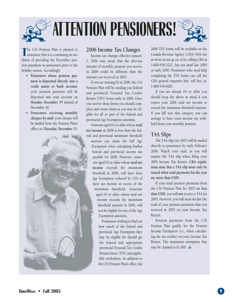

The CSS Pension Plan is pleased to announce that it is continuing its tradition of providing the December penhe CSS Pension Plan is pleased to announce that it is continuing its trasion payments to pensioners prior to the holiday season. Accordingly:

- **Pensioners whose pension payment is deposited directly into a credit union or bank account:** your pension payment will be deposited into your account on **Monday, December 19** instead of December 26.
- **Pensioners receiving monthly cheques by mail:** your cheque will be mailed from the Pension Plan's office on **Thursday, December 15.**



### **2006 Income Tax Changes**

Income tax changes effective January 1, 2006 may mean that the after-tax amount of monthly pension you receive in 2006 could be different than the amount you received in 2005.

If you are turning 65 in 2006, the CSS Pension Plan will be sending you federal and provincial Personal Tax Credits Return (TD1) forms early in 2006. Once you receive these forms you should complete and return them as you may be eligible for all or part of the federal and provincial Age Exemption amounts.

Someone aged 65 or older whose **total net income** in 2006 is less than the federal and provincial minimum threshold amount can claim the full Age Exemption when calculating his/her federal and provincial income tax payable for 2006. However, someone aged 65 or older whose **total net income** exceeds the minimum threshold in 2006, will have their Age Exemption reduced by 15% of their net income in excess of the minimum threshold. Someone aged 65 or older whose total net income exceeds the maximum threshold amount in 2006, will not be eligible for any of the Age Exemption amounts.

> Pensioners wishing to find out how much of the federal and provincial Age Exemption they may be eligible for should get the federal and appropriate provincial Personal Tax Credits Return forms (TD1) and applicable worksheets. In addition to the CSS Pension Plan's office, the

2006 TD1 forms will be available on the Canada Revenue Agency (CRA) Web site at www.cra-arc.gc.ca, or by calling CRA at 1-800-959-2221, but not until late 2005 or early 2006. Pensioners who need help completing the TD1 forms can call the CRA general enquiries line, toll free, at: 1-800-959-8281.

If you are already 65 or older you should keep the above in mind if you expect your 2006 total net income to exceed the minimum threshold amount. If you fall into this category, you can arrange to have extra income tax withheld from your monthly pension.

### **T4A Slips**

The T4A slips for 2005 will be mailed directly to pensioners by early February 2006. Watch your mail, as you will require the T4A slip when filing your 2005 Income Tax Return. **CRA regulations state that a T4A slip must only be issued when total payments for the year are more than \$500.** 

If your total pension payments from the CSS Pension Plan for 2005 are **less than \$500**, you will **not** receive a T4A for 2005. However, you still must declare the total of your pension payments that you received in 2005 on your Income Tax Return.

Pension payments from the CSS Pension Plan qualify for the Pension Income Exemption (i.e., when calculating the tax credits) on your Income Tax Return. The maximum exemption that may be claimed is \$1,000.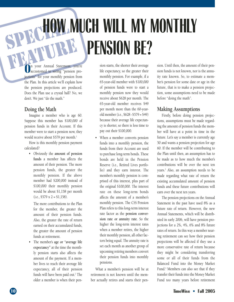# **SPECIAL MUCH WILL MY MONTHLY FEATURE AND STREET (SCRIPPING) PENSION BE?**

n your Annual Statement, you're accustomed to seeing "pension projections" for your monthly pension from the Plan. In this article we'll explain how the pension projections are produced. Does the Plan use a crystal ball? No, we don't. We just "do the math."

### **Doing the Math**

Imagine a member who is age 60. Suppose this member has \$100,000 of pension funds in their Account. If this member were to start a pension now, they would receive about \$579 per month.<sup>1</sup>

How is this monthly pension payment calculated?

• Obviously the **amount of pension funds** a member has affects the amount of their pension. The more pension funds, the greater the monthly pension. If the above member had \$200,000 instead of \$100,000 their monthly pension would be about \$1,158 per month  $(i.e., $579 \times 2 = $1,158).$ 

The more contributions to the Plan for the member, the greater the amount of their pension funds. Also, the greater the rate of return earned on their accumulated funds, the greater the amount of pension funds at retirement.

• The member's **age or "average life expectancy"** at the time the monthly pension starts also affects the amount of the payment. If a member lives to reach their average life expectancy, all of their pension funds will have been paid out.<sup>2</sup> The older a member is when their pension starts, the shorter their average life expectancy, so the greater their monthly pension. For example, if a 65-year-old member with \$100,000 of pension funds were to start a monthly pension now they would receive about \$628 per month. The 65-year-old member receives \$49 per month more than the 60-yearold member (i.e., \$628 - \$579 = \$49) because their average life expectancy is shorter, so there is less time to pay out their \$100,000.

• When a member converts pension funds into a monthly pension, the funds from their Account are used to purchase long-term bonds. These bonds are held in the Pension Reserve (i.e., Retired Lives portfolio) and they earn interest. The member's monthly pension is comprised of this interest, plus part of the original \$100,000. The interest rate on these long-term bonds affects the amount of a member's monthly pension. The CSS Pension Plan refers to this long-term interest rate factor as the **pension conversion rate or annuity rate**. So the higher the long-term interest rates when a member retires, the higher their monthly pension, all other factors being equal. The annuity rate is set each month as another group of upcoming retiring members convert their pension funds into monthly pensions.

What a member's pension will be at retirement is not known until the member actually retires and starts their pension. Until then, the amount of their pension funds is not known, nor is the annuity rate known. So, to estimate a member's pension for some date or age in the future, that is to make a pension projection, some assumptions need to be made before "doing the math".

### **Making Assumptions**

Firstly, before doing pension projections, assumptions must be made regarding the amount of pension funds the member will have at a point in time in the future. Let's say a member is currently age 50 and wants a pension projection for age 60. If the member will be contributing to the Plan until then, an assumption has to be made as to how much the member's contributions will be over the next ten years.3 Also, an assumption needs to be made regarding what rate of return the existing accumulated amount of pension funds and these future contributions will earn over the next ten years.

The pension projections on the Annual Statement in the past have used 8% as a future rate of return. However, the new Annual Statements, which will be distributed in early 2006, will have pension projections for a 2%, 4%, 6% and 8% future rates of return. In this way a member nearing retirement can see how their pension projections will be affected if they use a more conservative rate of return because they might be considering transferring some or all of their funds from the Balanced Fund into the Money Market Fund.<sup>4</sup> Members can also see that if they transfer their funds into the Money Market Fund too many years before retirement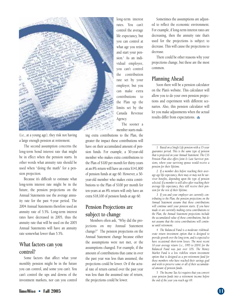

(i.e., at a young age), they risk not having a large enough pension at retirement.

The second assumption concerns the long-term bond interest rate that might be in effect when the pension starts. In other words what annuity rate should be used when "doing the math" for a pension projection.

Because it's difficult to estimate what long-term interest rate might be in the future, the pension projections on the Annual Statements use the average annuity rate for the past 4-year period. The 2004 Annual Statements therefore used an annuity rate of 5.5%. Long-term interest rates have decreased in 2005, thus the annuity rate that will be used on the 2005 Annual Statements will have an annuity rate somewhat lower than 5.5%.

### **What factors can you control?**

Some factors that affect what your monthly pension might be in the future you can control, and some you can't. You can't control the ups and downs of the investment markets, nor can you control

long-term interest rates. You can't control the average life expectancy, but you can control at what age you retire and start your pension.<sup>5</sup> As an individual employee, you can't control the contribution rate set by your employer, but you can make extra contributions to the Plan up the limits set by the Canada Revenue Agency. The sooner a

member starts mak-

ing extra contributions to the Plan, the greater the impact these contributions will have on their accumulated amount of pension funds. For example, a 30-year-old member who makes extra contributions to the Plan of \$100 per month for thirty-years at an 8% return will have an extra \$141,800 of pension funds at age 60. However, a 50 year-old member who makes extra contributions to the Plan of \$100 per month for ten-years at an 8% return will only have an extra \$18,100 of pension funds at age 60.

### **Pension Projections are subject to change**

Members often ask, "Why did the projections on my Annual Statement change?" The pension projections on the Annual Statement change because either the assumptions were not met, or the assumptions changed. For example, if the amount of contributions that came in over the past year was less than assumed, the projections could be lower. Or if the actual rate of return earned over the past year was less than the assumed rate of return, the projections could be lower.

Sometimes the assumptions are adjusted to reflect the economic environment. For example, if long-term interest rates are decreasing, then the annuity rate that's used for the projections is subject to decrease. This will cause the projections to decrease.

There could be other reasons why your projections change, but these are the most common.

### **Planning Ahead**

Soon there will be a pension calculator on the Plan's website. This calculator will allow you to do your own pension projections and experiment with different scenarios. Also, this pension calculator will let you make adjustments when the actual results differ from expectations.

*1 Based on a Single Life pension with a 15-year guarantee period. This is the same type of pension that is projected on your Annual Statement. The CSS Pension Plan also offers Joint & Last Survivor pensions, where your surviving spouse would receive a pension for their lifetime.*

*2 If a member dies before reaching their average age life expectancy, there may or may not be survivor benefits, depending upon the type of pension selected. If a member is still alive after reaching their average life expectancy, they still receive their pension for the rest of their lifetime.*

*3 If you and your employer are currently contributing to the Plan, the pension projections on the Annual Statement assume that those contributions will continue until your pension starts. If you have made or are currently making extra contributions to the Plan, the Annual Statement projections include the accumulated value of those contributions, but do not assume that the extra contributions will continue until retirement.*

*4 The Balanced Fund is a moderate risk/moderate return investment option that is designed to provide growth over the long term, and is expected to have occasional short-term losses. The most recent 10-year average return (i.e., 1995 to 2004) for the Balanced Fund was just over 10%. The Money Market Fund is a low risk/low return investment option that is designed as a pre-retirement fund for those members who have reached their savings goal and wish to preserve some or all of their accumulated amount of pension funds.*

*5 The Income Tax Act requires that you convert your pension funds into a retirement income before the end of the year you reach age 69.*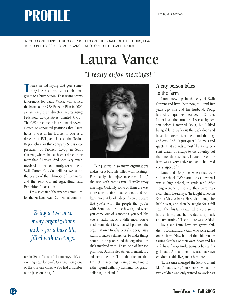## BY TOM BOWMAN **PROFILE**

IN OUR CONTINUING SERIES OF PROFILES ON THE BOARD OF DIRECTORS, FEA-TURED IN THIS ISSUE IS LAURA VANCE, WHO JOINED THE BOARD IN 2004.

## **Laura Vance**

*"I really enjoy meetings!"*

**T** here's an old saying that goes something like this: if you want a job done, give it to a busy person. That saying seems here's an old saying that goes something like this: if you want a job done, tailor-made for Laura Vance, who joined the board of the CSS Pension Plan in 2004 as an employer director representing Federated Co-operatives Limited (FCL). The CSS directorship is just one of several elected or appointed positions that Laura holds. She is in her fourteenth year as a director of FCL, and is also the Regina Region chair for that company. She is vicepresident of Pioneer Co-op in Swift Current, where she has been a director for more than 31 years. And she's very much involved in her community, serving as a Swift Current City Councillor as well as on the boards of the Chamber of Commerce and the Swift Current Agricultural and Exhibition Association.

"I'm also chair of the finance committee for the Saskatchewan Centennial commit-

*Being active in so many organizations makes for a busy life, filled with meetings.*

tee in Swift Current," Laura says. "It's an exciting year for Swift Current. Being one of the thirteen cities, we've had a number of projects on the go."



Being active in so many organizations makes for a busy life, filled with meetings. Fortunately, she enjoys meetings. "I do," she says with enthusiasm. "I *really* enjoy meetings. Certainly some of them are way more constructive [than others], and you learn more. A lot of it depends on the board that you're with, the people that you're with. Some you just mesh with, and when you come out of a meeting you feel like you've really made a difference, you've made some decisions that will progress the organization." In whatever she does, Laura wants to make a difference, to make things better for the people and the organizations she's involved with. That's one of her top priorities. But she also strives to maintain a balance in her life. "I find that the time that I'm not in meetings is important time to either spend with, my husband, the grandchildren, or friends."

### **A city person takes to the farm**

Laura grew up in the city of Swift Current and lives there now, but until five years ago, she and her husband, Doug, farmed 26 quarters near Swift Current. Laura loved the farm life. "I was a city person before I married Doug, but I liked being able to walk out the back door and have the horses right there, and the dogs and cats. And it's just quiet." Animals and quiet? That sounds almost like a city person's dream of escape to the country, but that's not the case here. Laura's life on the farm was a very active one and she loved every aspect of it.

Laura and Doug met when they were still in school. "We started to date when I was in high school, in grade ten." After Doug went to university, they were married. Then, Laura says, "he taught school in Spruce View, Alberta. He student-taught for half a year, and then he taught for a full year. Then his father wanted to retire; so he had a choice, and he decided to go back and try farming." Their future was decided.

Doug and Laura have two grown children, Scott and Laura Ann, who were raised on the farm. Now both of the children are raising families of their own. Scott and his wife have five-year-old twins, a boy and a girl. Laura Ann and her husband have two children, a girl, five, and a boy, three.

"Laura Ann managed the Swift Current Mall," Laura says, "but since she's had the two children and only wanted to work part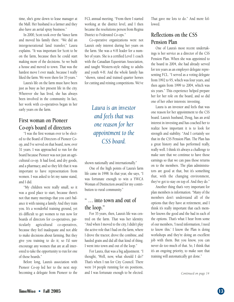time, she's gone down to lease manager at the Mall. Her husband is a farmer and they also have an aerial spray business."

In 2000, Scott took over the Vance farm and moved his family there. "We did an intergenerational land transfer," Laura explains. "It was important for Scott to be on the farm, because then he could start making more of the decisions. So we built a house and moved to town. That was the hardest move I ever made, because I really liked the farm. We were there for 35 years."

Laura's life on the farm must have been just as busy as her present life in the city. Wherever she has lived, she has always been involved in the community. In fact, her work with co-operatives began in her early years on the farm.

### **First woman on Pioneer Co-op's board of directors**

"I was the first woman ever to be elected to the Board of Directors of Pioneer Coop, and I've served on that board, now, over 31 years. I was approached to run for the board because Pioneer was not just an agricultural co-op. It had food, and dry goods, and a pharmacy, and so they felt that it was important to have representation from women. I was asked to let my name stand, and I did.

"My children were really small, so it was a good place to start, because there's not that many meetings that you can't balance it with raising a family. And they train you. It's a wonderful training ground, yet it's difficult to get women to run now for boards of directors for co-operatives, particularly agricultural co-operatives, because they feel inadequate and not able to make decisions about farming. But they give you training to do it; so I'd sure encourage any women that are at all interested to take the opportunity to run for one of those boards."

Before long, Laura's association with Pioneer Co-op led her to the next step: becoming a delegate from Pioneer to the FCL annual meeting. "From there I started working at the district level, and I then became the resolutions person from Regina District to Federated Co-ops."

Co-operative organizations were not Laura's only interest during her years on the farm. She was a 4-H leader for a number of years. She is a certified Level 1 coach with the Canadian Equestrian Association, and taught Western-style riding to adults and youth 4-H. And the whole family has "shown, raised and trained quarter horses for cutting and reining competitions. We've

### *Laura is an investor and feels that was one reason for her appointment to the CSS board.*

shown nationally and internationally."

One of the high points of Laura's farm life came in 1998. In that year, she says, "I was fortunate enough to win a YWCA Woman of Distinction award for my contribution to rural community."

### **" … into town and out of the loop."**

For 35 years, then, Laura's life was centred on the farm. That was her identity. "And when I moved to the city, I didn't play the active role that I had on the farm, where I drove the tractor, drove the combine, and hauled grain and did all that kind of thing. I went into town and out of the loop."

For Laura, that was a big adjustment. "I thought, 'Well, now, what should I do?' That's when I ran for City Council. There were 14 people running for six positions, and I was fortunate enough to be elected. That gave me lots to do." And more followed.

### **Reflections on the CSS Pension Plan**

One of Laura's most recent undertakings is her service as a director of the CSS Pension Plan. When she was appointed to the board in 2004, she had already served for ten years as an employer delegate representing FCL. "I served as a voting delegate from 1992 to 95, which was four years, and then again from 1999 to 2004, which was six years." This experience helped prepare her for her role on the board, and so did one of her other interests: investing.

Laura is an investor and feels that was one reason for her appointment to the CSS board. Laura's husband, Doug, has an avid interest in investing and has coached her to realize how important it is to look for strength and stability. "And I certainly see that in the CSS Pension Plan. The Plan has a great history and has performed really, really well. I think it's always a challenge to make sure that we continue to have those earnings so that we can pass those returns on to the members. The plan administrators are good at that, but it's something that, with the changing environment, they've got to stay on top of. And they do."

Another thing that's very important for plan members is information. "Many of the members don't understand all of the options that they have at retirement, and I think it's really important that each member knows the good and the bad in each of the options. That's what I hear from some of our members, 'I need information, I need to know this.' I know the Plan is doing workshops and they're doing an excellent job with them. But you know, you can never do too much of that. So, I think that it's an ongoing priority, to make sure that training will automatically get done."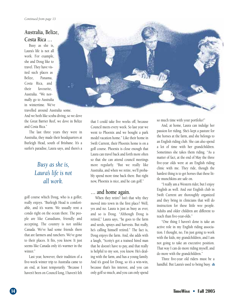### **Australia, Belize, Costa Rica …**

Busy as she is, Laura's life is not all work. For example, she and Doug like to travel. They have visited such places as Belize, Panama, Costa Rica, and their favourite, Australia. "We normally go to Australia in wintertime. We've

travelled around Australia some.

And we both like scuba diving, so we dove the Great Barrier Reef, we dove in Belize and Costa Rica."

The last three years they were in Australia, they made their headquarters at Burleigh Head, south of Brisbane. It's a surfer's paradise, Laura says, and there's a

### *Busy as she is, Laura's life is not all work.*

golf course which Doug, who is a golfer, really enjoys. "Burleigh Head is comfortable, and it's warm. We usually rent a condo right on the ocean there. The people are like Canadians, friendly and accepting. The country is not unlike Canada. We've had some friends there that are farmers and ranchers. We've gone to their places. It fits, you know. It just seems like Canada only it's warmer in the winter."

Last year, however, their tradition of a five-week winter trip to Australia came to an end, at least temporarily. "Because I haven't been on Council long, I haven't felt

that I could take five weeks off, because Council meets every week. So last year we went to Phoenix and we bought a park model vacation home." Like their home in Swift Current, their Phoenix home is on a golf course. Phoenix is close enough that Laura can travel back and forth more often so that she can attend council meetings more regularly. "But we really like Australia, and when we retire, we'll probably spend more time back there. But right now, Phoenix is nice, and he can golf."

### **… and home again.**

When they retire? Isn't that why they moved into town in the first place? Well, yes and no. Laura is just as busy as ever, and so is Doug. "Although Doug is retired," Laura says, "he goes to the farm and seeds, sprays and harvests. But really, he's calling himself retired." The fact is, Doug enjoys the farm. And, she adds with a laugh, "Scotty's got a trained hired man that he doesn't have to pay, and that really is helpful to my son, you know. He's dealing with the farm, and has a young family. And it's good for Doug, so it's a win-win, because that's his interest, and you can only golf so much, and you can only spend

so much time with your portfolio!"

And, at home, Laura can indulge her passion for riding. She's kept a pasture for the horses at the farm, and she belongs to an English riding club. She can also spend a lot of time with her grandchildren. Sometimes she takes them riding. "As a matter of fact, at the end of May the three five-year olds were at an English riding clinic with me. They ride, though the hardest thing is to get horses that these little munchkins are safe on.

"I really am a Western rider, but I enjoy English as well. And our English club in Swift Current are thoroughly organized and they bring in clinicians that will do instruction for these little wee people. Adults and older children are different to teach than five-year-olds."

"One thing I haven't done is take an active role in my English riding association. I thought, no, I'm just going to work with the kids, my grandchildren, and I am not going to take an executive position. That way I can do more riding myself, and do more with the grandchildren."

Three five-year old riders must be a handful. But Laura's used to being busy.

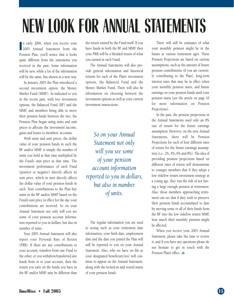# **NEW LOOK FOR ANNUAL STATEMENTS**

**I** n early 2006, when you receive your 2005 Annual Statement from the Pension Plan, you'll notice that it looks quite different from the statements you received in the past. Some information will be new, while a lot of the information will be the same, but shown in a new way.

In January 2005 the Plan introduced a second investment option, the Money Market Fund (MMF). As indicated to you in the recent past, with two investment options, the Balanced Fund (BF) and the MMF, and members being able to move their pension funds between the two, the Pension Plan began using units and unit prices to allocate the investment income, gains and losses to members' accounts.

With units and unit prices, the dollar value of your pension funds in each the BF and/or MMF is simply the number of units you hold at that time multiplied by the Fund's unit price at that time. The investment performance of each Fund (positive or negative) directly affects its unit price, which in turn directly affects the dollar value of your pension funds in each. Your contributions to the Plan buy units in the BF and/or MMF based on the Fund's unit price in effect for the day your contributions are received. So on your Annual Statement not only will you see some of your pension account information reported to you in dollars, but also in number of units.

Your 2005 Annual Statement will also report your Personal Rate of Return (PRR). If there are any contributions to your account, transfers from one Fund to the other, or you withdrew/transferred any funds from or to your account, then the return you earn on the funds you have in the BF and/or MMF may be different than

the return earned by the Fund itself. If you have funds in both the BF and MMF, then your PRR will be a blended return of what you earned in each Fund.

The Annual Statements will also provide general information and historical returns for each of the Plan's investment options, the Balanced Fund and the Money Market Fund. There will also be information on choosing between the investment options as well as your current investment instructions.

*So on your Annual Statement not only will you see some of your pension account information reported to you in dollars, but also in number of units.*

The regular information you are used to seeing such as your retirement date information, your birth date, employment date and the date you joined the Plan will still be reported to you on your Annual Statement. Also, who we have on file as your designated beneficiary(ies) will continue to appear on the Annual Statement, along with the locked-in and vested status of your pension funds.

There will still be estimates of what your monthly pension might be in the future at various retirement ages. These Pension Projections are based on various assumptions, such as the amount of future pension contributions (if you are currently contributing to the Plan), long-term interest rates that may be in effect when your monthly pension starts, and future earnings on your pension funds until your pension starts (see the article on page 10 for more information on Pension Projections).

In the past, the pension projections in the Annual Statements used only an 8% rate of return for the future earnings assumption. However, on the new Annual Statements, there will be Pension Projections for each of four different rates of return for the future earnings assumption (i.e., 2%, 4%, 6% and 8%). The idea of providing pension projections based on different rates of return will demonstrate to younger members that if they adopt a low risk/low return investment strategy at a young age, they run the risk of not having a large enough pension at retirement. Also, those members approaching retirement can see that if they wish to preserve their pension funds accumulated to date by moving some or all of their funds from the BF into the low risk/low return MMF, how much their monthly pension might be affected.

When you receive your 2005 Annual Statement, please take the time to review it, and if you have any questions please do not hesitate to get in touch with the Pension Plan's office.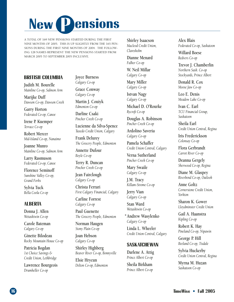# **New** *Pensions*

A TOTAL OF 169 NEW PENSIONS STARTED DURING THE FIRST NINE MONTHS OF 2005. THIS IS UP SLIGHTLY FROM THE 165 PEN-SIONS DURING THE FIRST NINE MONTHS OF 2004. THE FOLLOW-ING 128 NAMES REPRESENT THE NEW PENSIONS STARTED FROM MARCH 2005 TO SEPTEMBER 2005 INCLUSIVE.

### **BRITISH COLUMBIA**

**Judith M. Bourelle** *Mainline Co-op, Salmon Arm*

**Marijke Duff** *Dawson Co-op, Dawson Creek*

**Garry Horton** *Federated Co-op, Canoe*

**Irene P. Kuemper** *Terrace Co-op*

**Robert Mercer** *Mid-Island Co-op, Nanaimo*

**Joanne Munro** *Mainline Co-op, Salmon Arm*

**Larry Rasmuson** *Federated Co-op, Canoe*

**Florence Seminoff** *Sunshine Valley Co-op, Grand Forks*

**Sylvia Tuck** *Bella Coola Co-op*

### **ALBERTA**

**Donna J. Allen** *Wetaskiwin Co-op*

**Carole Bateman** *Calgary Co-op*

**Ginette Bilodeau** *Rocky Mountain House Co-op*

**Patricia Bogdan** *1st Choice Savings & Credit Union, Lethbridge*

**Lawrence Bourgeois** *Drumheller Co-op*

**Joyce Burness** *Calgary Co-op*

**Grace Conway** *Calgary Co-op*

**Martin J. Couiyk** *Edmonton Co-op*

**Darline Csaki** *Pincher Creek Co-op*

**Lucienne da Silva-Spence** *Tuxedo Credit Union, Calgary*

**Frank Delurey** *The Grocery People, Edmonton*

**Annette Dufour** *Boyle Co-op*

**Terry R. Duncan** *Pincher Creek Co-op*

**Jean Fairclough** *Calgary Co-op*

**Christa Ferrari** *First Calgary Financial, Calgary*

**Carline Forrest** *Calgary Co-op*

**Paul Guenette** *The Grocery People, Edmonton*

**Norman Haugen** *Stony Plain Co-op*

**Joan Hebson** *Calgary Co-op*

**Shirley Highberg** *Beaver River Co-op, Bonnyville*

**Elsie Hrycun** *Delton Co-op, Edmonton* **Shirley Isaacson** *Macleod Credit Union, Claresholm*

**Dianne Menard** *Falher Co-op*

**W. Neil Millar** *Calgary Co-op*

**Mary Miller** *Calgary Co-op*

**Istvan Nagy** *Calgary Co-op*

**Michael D. O'Rourke** *Rycroft Co-op*

**Douglas A. Robinson** *Pincher Creek Co-op*

**Ardolino Saveria** *Calgary Co-op*

**Pamela Schaffer** *Credit Union Central, Calgary*

**Verna Sutherland** *Pincher Creek Co-op*

**Mary Swaile** *Calgary Co-op*

**J.M. Tracy** *Killam-Strome Co-op*

**Jerry Vian** *Calgary Co-op*

**Stan Ward** *Wetaskiwin Co-op*

**Andrew Wasylenko \****Calgary Co-op*

**Linda L. Wheeler** *Credit Union Central, Calgary*

### **SASKATCHEWAN**

**Darlene A. Attig** *Prince Albert Co-op*

**Sheila Birkham** *Prince Albert Co-op*

**Alex Blais** *Federated Co-op, Saskatoon*

**Willard Boese** *Redvers Co-op*

**Trevor J. Chamberlin** *Northern Sask. Co-op Stockyards, Prince Albert*

**Donald R. Cox** *Moose Jaw Co-op*

**Leo E. Denis** *Meadow Lake Co-op*

**Ivan C. Earl** *TCU Financial Group, Saskatoon*

**Sheila Earl** *Credit Union Central, Regina*

**Iris Frederickson** *Colonsay Co-op*

**Flora Gerbrandt** *Carrot River Co-op*

**Deanna Gergely** *Sherwood Co-op, Regina*

**Diane M. Glaspey** *Riverbend Co-op, Outlook*

**Anne Goltz** *Cornerstone Credit Union, Yorkton*

**Sharon K. Gower** *Lloydminster Credit Union*

**Gail A. Haanstra** *Kipling Co-op*

**Robert K. Hay** *Pineland Co-op, Nipawin*

**George P. Hill** *Beeland Co-op, Tisdale*

**Sylvia Huckerby** *Credit Union Central, Regina*

**Myrna M. Huzan** *Saskatoon Co-op*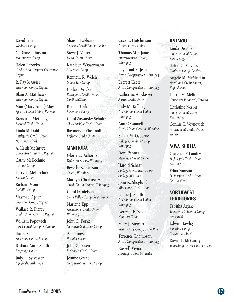**David Irwin** *Weyburn Co-op*

**C. Diane Johnston** *Montmartre Co-op*

**Helen Lazorko** *Credit Union Deposit Guarantee, Regina*

**R. Fay Massier** *Sherwood Co-op, Regina*

**Blain A. Matthews** *Sherwood Co-op, Regina*

**Mim (Mary Anne) May** *Spectra Credit Union, Estevan*

**Brenda L. McCuaig** *Eastend Credit Union*

**Linda McDaid** *Battlefords Credit Union, North Battleford*

**A. Keith McIntyre** *Concentra Financial, Regina*

**Cathy McKechnie** *Bethune Co-op*

**Terry L. Melnechuk** *Mervin Co-op*

**Richard Moore** *Radville Co-op*

**Maymae Ogden** *Sherwood Co-op, Regina*

**Wallace R. Piercy** *Credit Union Central, Regina*

**William Popowich** *East Central Co-op, Kelvington*

**Harry Rens** *Sherwood Co-op, Regina*

**Barbara Anne Smith** *Bengough Co-op*

**Judy L. Sylvester** *Agrifoods, Saskatoon*

**Sharon Tabbernor** *Conexus Credit Union, Regina*

**Steve J. Vetter** *Delta Co-op, Unity*

**Kathleen Wassermann** *Muenster Co-op*

**Kenneth R. Welch** *Moose Jaw Co-op*

**Colleen Wicks** *Battlefords Credit Union, North Battleford*

**Kenina York** *Saskatoon Co-op*

**Carol Zawatsky-Schultz** *Churchbridge Credit Union*

**Raymonde Zbeetnoff** *Lafleche Credit Union*

#### **MANITOBA**

**Gloria C. Achorne** *Red River Co-op, Winnipeg*

**Beverly K. Bateson** *Celero, Winnipeg*

**Marilyn Chrabaszcz** *Credit Union Central, Winnipeg*

**Carol Danielson** *Swan Valley Co-op, Swan River*

**Marlene Epp** *Assiniboine Credit Union, Winnipeg*

**John G. Forke** *Neepawa-Gladstone Co-op*

**Abe Froese** *Winkler Co-op*

**John Goossen** *Steinbach Credit Union*

**Joanne Grant** *Neepawa-Gladstone Co-op* **Cece L. Hutchinson** *Arborg Credit Union*

**Thomas M.P. James** *Interprovincial Co-op, Winnipeg*

**Raymond B. Jean** *Arctic Co-operatives, Winnipeg*

**Everett Keefe** *Arctic Co-operatives, Winnipeg*

**Katherine A. Klassen** *Austin Credit Union*

**Judy M. Kollinger** *Assiniboine Credit Union, Winnipeg*

**Ann O'Connell** *Credit Union Central, Winnipeg*

**Sylvia M. Osborne** *Village Canadian Co-op, Winnipeg*

**Dora Penner** *Steinbach Credit Union*

**Harold Schaan** *Portage Consumers Co-op, Portage la Prairie*

**John K. Skoglund \****Minnedosa Credit Union*

**Elaine J. Smith** *Assiniboine Credit Union, Winnipeg*

**Gerry R.E. Soldan** *Hamiota Co-op*

**Mary J. Stewart** *Swan Valley Co-op, Swan River*

**Terrence Thompson** *Arctic Co-operatives, Winnipeg*

**Russell Vivier** *Heritage Co-op, Minnedosa*

#### **ONTARIO**

**Linda Dionne** *Interprovincial Co-op, Mississauga*

**Helen C. Maynes** *Canfarm Co-op, Guelph*

**Angele M. McMeekin** *Northland Credit Union, Kapuskasing*

**Laurie M. Melito** *Concentra Financial, Toronto*

**Christine Nesbit** *Interprovincial Co-op, Mississauga*

**Connie T. Voynovich** *Penfinancial Credit Union, Welland*

### **NOVA SCOTIA**

**Clarence P. Landry** *St. Joseph's Credit Union, Petit de Grat*

**Edna Samson** *St. Joseph's Credit Union, Petit de Grat*

### **NORTHWEST TERRITORIES**

**Tabitha Aglak** *Toonoonik Sahoonik Co-op, Pond Inlet*

**Edwin Hawley** *Pitsiulak Co-op, Chesterfield Inlet*

**David E. McCurdy** *Yellowknife Direct Charge Co-op*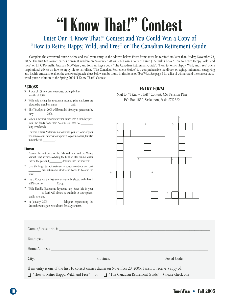# **"I Know That!" Contest**

### **Enter Our "I Know That!" Contest and You Could Win a Copy of "How to Retire Happy, Wild, and Free" or The Canadian Retirement Guide"**

Complete the crossword puzzle below and mail your entry to the address below. Entry forms must be received no later than Friday, November 25, 2005. The first ten correct entries drawn at random on November 28 will each win a copy of Ernie J. Zelinski's book "How to Retire Happy, Wild, and Free" or Jill O'Donnell's, Graham McWaters', and John A. Page's book "The Canadian Retirement Guide". "How to Retire Happy, Wild, and Free" offers inspirational advice on how to enjoy life to its fullest. "The Canadian Retirement Guide" is a comprehensive handbook on aging, retirement, caregiving and health. Answers to all of the crossword puzzle clues below can be found in this issue of *TimeWise*. See page 3 for a list of winners and the correct crossword puzzle solution to the Spring 2005 "I Know That!" Contest.

#### **ACROSS**

- 3. A total of 169 new pensions started during the first months of 2005.
- 5. With unit pricing the investment income, gains and losses are allocated to members on an \_\_\_\_\_\_\_\_\_\_ basis.
- 6. The T4A slips for 2005 will be mailed directly to pensioners by early 2006.
- 8. When a member converts pension funds into a monthly pension, the funds from their Account are used to \_\_\_\_\_\_\_\_\_\_ long-term bonds.
- 10. On your Annual Statement not only will you see some of your pension account information reported to you in dollars, but also in number of

#### **Down**

- 1. Because the unit price for the Balanced Fund and the Money Market Fund are updated daily, the Pension Plan can no longer extend the year-end deadline into the new year.
- 2. Over the longer term, investment forecasters continue to expect \_\_\_\_\_\_\_\_\_\_ digit returns for stocks and bonds to become the norm.
- 4. Laura Vance was the first woman ever to be elected to the Board of Directors of \_\_\_\_\_\_\_\_\_\_ Co-op.
- 7. With Flexible Retirement Payments, any funds left in your \_\_\_\_\_\_\_\_\_\_ at death will always be available to your spouse, family or estate.
- 9. In January 2005 \_\_\_\_\_\_\_\_\_\_ delegates representing the Saskatchewan region were elected for a 2 year term.

#### **ENTRY FORM**

Mail to: "I Know That!" Contest, CSS Pension Plan P.O. Box 1850, Saskatoon, Sask. S7K 3S2



|                                                                                                             | City: New York Code: New York Province: New York Postal Code: New York Postal Code: New York Postal Code: New York Postal Code: New York Postal Code: New York Postal Code: New York Postal Code: New York Postal Code: New Yo |  |
|-------------------------------------------------------------------------------------------------------------|--------------------------------------------------------------------------------------------------------------------------------------------------------------------------------------------------------------------------------|--|
| If my entry is one of the first 10 correct entries drawn on November 28, 2005, I wish to receive a copy of: |                                                                                                                                                                                                                                |  |
|                                                                                                             | □ "How to Retire Happy, Wild, and Free" or □ "The Canadian Retirement Guide" (Please check one)                                                                                                                                |  |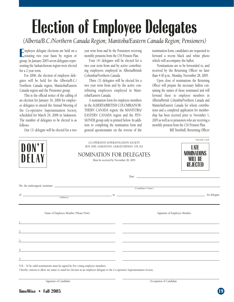# **Election of Employee Delegates**

*(Alberta/B.C./Northern Canada Region; Manitoba/Eastern Canada Region; Pensioners)*

**E**mployee delegate elections are held on a<br>
rotating two year basis by region or mployee delegate elections are held on a group. In January 2005 seven delegates representing the Saskatchewan region were elected for a 2 year term.

For 2006, the election of employee delegates will be held for the Alberta/B.C./ Northern Canada region, Manitoba/Eastern Canada region and the Pensioner group.

This is the official notice of the calling of an election for January 16, 2006 for employee delegates to attend the Annual Meeting of the Co-operative Superannuation Society, scheduled for March 24, 2006 in Saskatoon. The number of delegates to be elected is as follows:

One (1) delegate will be elected for a two

year term from and by the Pensioners receiving monthly pensions from the CSS Pension Plan.

Four (4) delegates will be elected for a two year term from and by active contributing employees employed in Alberta/British Columbia/Northern Canada.

Three (3) delegates will be elected for a two year term from and by the active contributing employees employed in Manitoba/Eastern Canada.

A nomination form for employee members in the ALBERTA/BRITISH COLUMBIA/NOR-THERN CANADA region; the MANITOBA/ EASTERN CANADA region and the PEN-SIONER group only is printed below. In addition to completing the nomination form and general questionnaire on the reverse of the

nomination form, candidates are requested to forward a recent black and white photo which will accompany the ballot.

Nominations are to be forwarded to, and received by the Returning Officer no later than 4:30 p.m., Monday, November 28, 2005.

Upon close of nominations the Returning Officer will prepare the necessary ballots containing the names of those nominated and will forward these to employee members in Alberta/British Columbia/Northern Canada and Manitoba/Eastern Canada for whom contributions and a completed application for membership has been received prior to November 1, 2005 as well as to pensioners who are receiving a monthly pension from the CSS Pension Plan.

Bill Turnbull, Returning Officer

|                                                                                |                                                                                                                                                                                                                                     | CO-OPERATIVE SUPERANNUATION SOCIETY |                                                                                                                       |
|--------------------------------------------------------------------------------|-------------------------------------------------------------------------------------------------------------------------------------------------------------------------------------------------------------------------------------|-------------------------------------|-----------------------------------------------------------------------------------------------------------------------|
| DON'T<br>DELAY                                                                 | BOX 1850, SASKATOON, SASKATCHEWAN S7K 3S2<br><b>NOMINATION FOR DELEGATES</b><br>Must be received by November 28, 2005                                                                                                               |                                     | LATE<br><b>NOMINATIONS</b><br>WILL BE<br>REJECTED                                                                     |
|                                                                                |                                                                                                                                                                                                                                     |                                     | Date:                                                                                                                 |
|                                                                                |                                                                                                                                                                                                                                     | (Candidate's Name)                  |                                                                                                                       |
|                                                                                | of $\overline{\phantom{a}}$ (Address) $\overline{\phantom{a}}$ in $\overline{\phantom{a}}$                                                                                                                                          |                                     |                                                                                                                       |
|                                                                                | Name of Employee Member (Please Print)                                                                                                                                                                                              |                                     | Signature of Employee Member                                                                                          |
|                                                                                | <u> 1989 - Johann Harry Harry Harry Harry Harry Harry Harry Harry Harry Harry Harry Harry Harry Harry Harry Harry</u>                                                                                                               |                                     | <u> 1989 - Johann Harry Harry Harry Harry Harry Harry Harry Harry Harry Harry Harry Harry Harry Harry Harry Harry</u> |
|                                                                                | $\overline{2}$ . The contract of the contract of the contract of the contract of the contract of the contract of the contract of the contract of the contract of the contract of the contract of the contract of the contract of th |                                     |                                                                                                                       |
| $\overline{\mathbf{3}}$                                                        | <u> 1989 - Andrea Stadt Britain, amerikansk politik (d. 1989)</u>                                                                                                                                                                   |                                     |                                                                                                                       |
|                                                                                | <u> 1989 - Andrea Santa Alemania, amerikana amerikana amerikana amerikana amerikana amerikana amerikana amerikana</u>                                                                                                               |                                     |                                                                                                                       |
| 5                                                                              | <u> 1989 - Andrea San Andrea San Aonaichte ann an Comhair ann an Chomhair ann an Chomhair ann an Chomhair ann an </u>                                                                                                               |                                     |                                                                                                                       |
| N.B. - To be valid nominations must be signed by five voting employee members. | I hereby consent to allow my name to stand for election as an employee delegate to the Co-operative Superannuation Society                                                                                                          |                                     |                                                                                                                       |

I hereby consent to allow my name to stand for election as an employee delegate to the Co-operative Superannuation Society.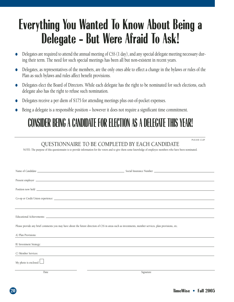## **Everything You Wanted To Know About Being a Delegate - But Were Afraid To Ask!**

- Delegates are required to attend the annual meeting of CSS (1 day), and any special delegate meeting necessary during their term. The need for such special meetings has been all but non-existent in recent years.
- Delegates, as representatives of the members, are the only ones able to effect a change in the bylaws or rules of the Plan as such bylaws and rules affect benefit provisions.
- Delegates elect the Board of Directors. While each delegate has the right to be nominated for such elections, each delegate also has the right to refuse such nomination.
- Delegates receive a per diem of \$175 for attending meetings plus out-of-pocket expenses.
- Being a delegate is a responsible position however it does not require a significant time commitment.

## **CONSIDER BEING A CANDIDATE FOR ELECTION AS A DELEGATE THIS YEAR!**

### QUESTIONNAIRE TO BE COMPLETED BY EACH CANDIDATE

NOTE: The purpose of this questionnaire is to provide information for the voters and to give them some knowledge of employee members who have been nominated.

|                             | Present employer <u>example and the second contract of the second contract of the second contract of the second contract of the second contract of the second contract of the second contract of the second contract of the seco</u> |
|-----------------------------|--------------------------------------------------------------------------------------------------------------------------------------------------------------------------------------------------------------------------------------|
|                             | Position now held <u>the contract of the contract of the contract of the contract of the contract of the contract of the contract of the contract of the contract of the contract of the contract of the contract of the contrac</u> |
|                             |                                                                                                                                                                                                                                      |
|                             |                                                                                                                                                                                                                                      |
|                             |                                                                                                                                                                                                                                      |
|                             | Please provide any brief comments you may have about the future direction of CSS in areas such as investments, member services, plan provisions, etc.                                                                                |
| A) Plan Provisions:         |                                                                                                                                                                                                                                      |
| B) Investment Strategy:     |                                                                                                                                                                                                                                      |
| C) Member Services:         |                                                                                                                                                                                                                                      |
| My photo is enclosed $\Box$ |                                                                                                                                                                                                                                      |
| Date                        | Signature                                                                                                                                                                                                                            |

PLEASE CLIP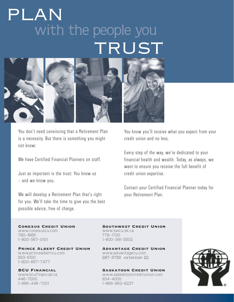## with the people you TRUST PLAN



You don't need convincing that a Retirement Plan is a necessity. But there is something you might not know:

We have Certified Financial Planners on staff.

Just as important is the trust: You know us – and we know you.

We will develop a Retirement Plan that's right for you. We'll take the time to give you the best possible advice, free of charge.

You know you'll receive what you expect from your credit union and no less.

Every step of the way, we're dedicated to your financial health and wealth. Today, as always, we want to ensure you receive the full benefit of credit union expertise.

Contact your Certified Financial Planner today for your Retirement Plan.

www.conexuscu.com www.swcu.sk.ca 780-1666 778-1700

Prince Albert Credit Union Advantage Credit Union www.princealbertcu.com www.advantagecu.com 953-6100 1-800-667-7477

446-7000 934-4000

Conexus Credit Union Southwest Credit Union 1-800-381-5502

287-3730 extension 22

BCU Financial Saskatoon Credit Union www.bcufinancial.ca www.saskatooncreditunion.com 1-866-863-6237